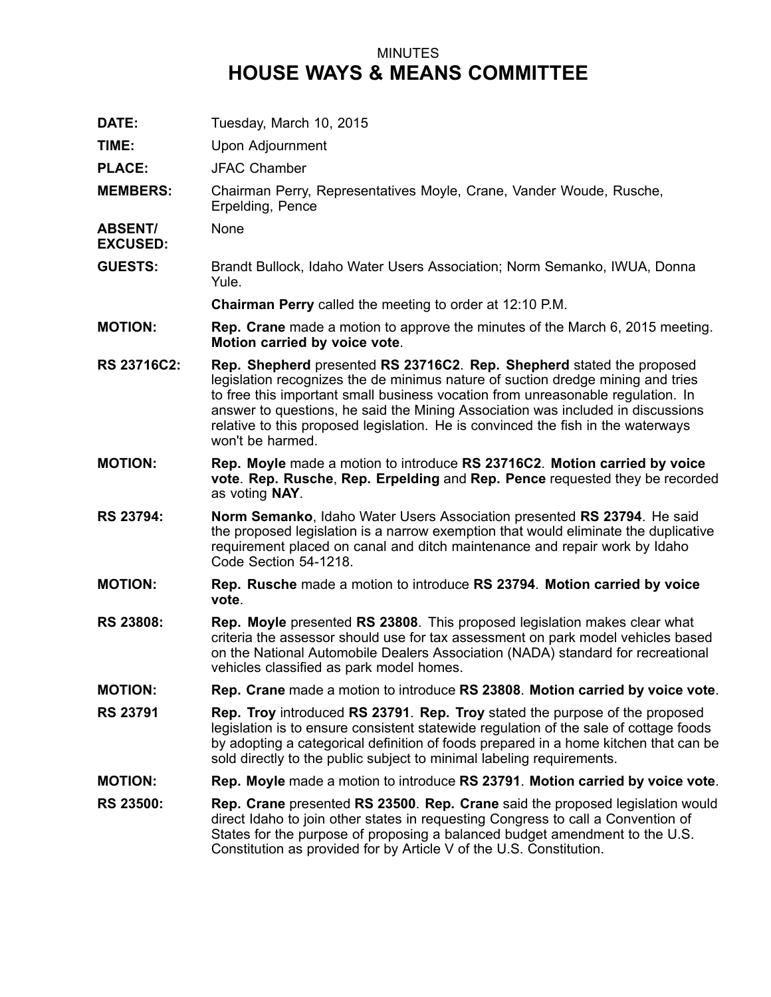## MINUTES **HOUSE WAYS & MEANS COMMITTEE**

**DATE:** Tuesday, March 10, 2015 **TIME:** Upon Adjournment **PLACE:** JFAC Chamber **MEMBERS:** Chairman Perry, Representatives Moyle, Crane, Vander Woude, Rusche, Erpelding, Pence **ABSENT/ EXCUSED:** None **GUESTS:** Brandt Bullock, Idaho Water Users Association; Norm Semanko, IWUA, Donna Yule. **Chairman Perry** called the meeting to order at 12:10 P.M. **MOTION: Rep. Crane** made <sup>a</sup> motion to approve the minutes of the March 6, 2015 meeting. **Motion carried by voice vote**. **RS 23716C2: Rep. Shepherd** presented **RS 23716C2**. **Rep. Shepherd** stated the proposed legislation recognizes the de minimus nature of suction dredge mining and tries to free this important small business vocation from unreasonable regulation. In answer to questions, he said the Mining Association was included in discussions relative to this proposed legislation. He is convinced the fish in the waterways won't be harmed. **MOTION: Rep. Moyle** made <sup>a</sup> motion to introduce **RS 23716C2**. **Motion carried by voice vote**. **Rep. Rusche**, **Rep. Erpelding** and **Rep. Pence** requested they be recorded as voting **NAY**. **RS 23794: Norm Semanko**, Idaho Water Users Association presented **RS 23794**. He said the proposed legislation is <sup>a</sup> narrow exemption that would eliminate the duplicative requirement placed on canal and ditch maintenance and repair work by Idaho Code Section 54-1218. **MOTION: Rep. Rusche** made <sup>a</sup> motion to introduce **RS 23794**. **Motion carried by voice vote**. **RS 23808: Rep. Moyle** presented **RS 23808**. This proposed legislation makes clear what criteria the assessor should use for tax assessment on park model vehicles based on the National Automobile Dealers Association (NADA) standard for recreational vehicles classified as park model homes. **MOTION: Rep. Crane** made <sup>a</sup> motion to introduce **RS 23808**. **Motion carried by voice vote**. **RS 23791 Rep. Troy** introduced **RS 23791**. **Rep. Troy** stated the purpose of the proposed legislation is to ensure consistent statewide regulation of the sale of cottage foods by adopting <sup>a</sup> categorical definition of foods prepared in <sup>a</sup> home kitchen that can be sold directly to the public subject to minimal labeling requirements. **MOTION: Rep. Moyle** made <sup>a</sup> motion to introduce **RS 23791**. **Motion carried by voice vote**. **RS 23500: Rep. Crane** presented **RS 23500**. **Rep. Crane** said the proposed legislation would direct Idaho to join other states in requesting Congress to call <sup>a</sup> Convention of States for the purpose of proposing <sup>a</sup> balanced budget amendment to the U.S. Constitution as provided for by Article V of the U.S. Constitution.